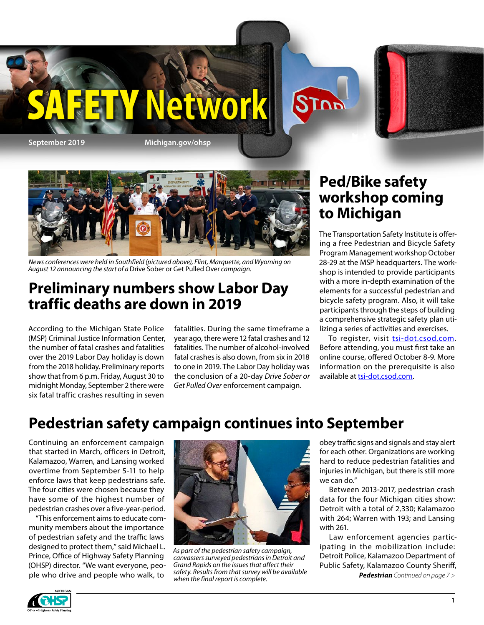

**September 2019 Michigan.gov/ohsp**



*News conferences were held in Southfield (pictured above), Flint, Marquette, and Wyoming on August 12 announcing the start of a* Drive Sober or Get Pulled Over *campaign.*

### **Preliminary numbers show Labor Day traffic deaths are down in 2019**

According to the Michigan State Police (MSP) Criminal Justice Information Center, the number of fatal crashes and fatalities over the 2019 Labor Day holiday is down from the 2018 holiday. Preliminary reports show that from 6 p.m. Friday, August 30 to midnight Monday, September 2 there were six fatal traffic crashes resulting in seven

fatalities. During the same timeframe a year ago, there were 12 fatal crashes and 12 fatalities. The number of alcohol-involved fatal crashes is also down, from six in 2018 to one in 2019. The Labor Day holiday was the conclusion of a 20-day *Drive Sober or Get Pulled Over* enforcement campaign.

### **Ped/Bike safety workshop coming to Michigan**

The Transportation Safety Institute is offering a free Pedestrian and Bicycle Safety Program Management workshop October 28-29 at the MSP headquarters. The workshop is intended to provide participants with a more in-depth examination of the elements for a successful pedestrian and bicycle safety program. Also, it will take participants through the steps of building a comprehensive strategic safety plan utilizing a series of activities and exercises.

To register, visit [tsi-dot.csod.com](http://tsi-dot.csod.com). Before attending, you must first take an online course, offered October 8-9. More information on the prerequisite is also available at [tsi-dot.csod.com](http://tsi-dot.csod.com).

### **Pedestrian safety campaign continues into September**

Continuing an enforcement campaign that started in March, officers in Detroit, Kalamazoo, Warren, and Lansing worked overtime from September 5-11 to help enforce laws that keep pedestrians safe. The four cities were chosen because they have some of the highest number of pedestrian crashes over a five-year-period.

"This enforcement aims to educate community members about the importance of pedestrian safety and the traffic laws designed to protect them," said Michael L. Prince, Office of Highway Safety Planning (OHSP) director. "We want everyone, people who drive and people who walk, to



*As part of the pedestrian safety campaign, canvassers surveyed pedestrians in Detroit and Grand Rapids on the issues that affect their safety. Results from that survey will be available when the final report is complete.*

obey traffic signs and signals and stay alert for each other. Organizations are working hard to reduce pedestrian fatalities and injuries in Michigan, but there is still more we can do."

Between 2013-2017, pedestrian crash data for the four Michigan cities show: Detroit with a total of 2,330; Kalamazoo with 264; Warren with 193; and Lansing with 261.

Law enforcement agencies participating in the mobilization include: Detroit Police, Kalamazoo Department of Public Safety, Kalamazoo County Sheriff,

*Pedestrian Continued on page 7 >*

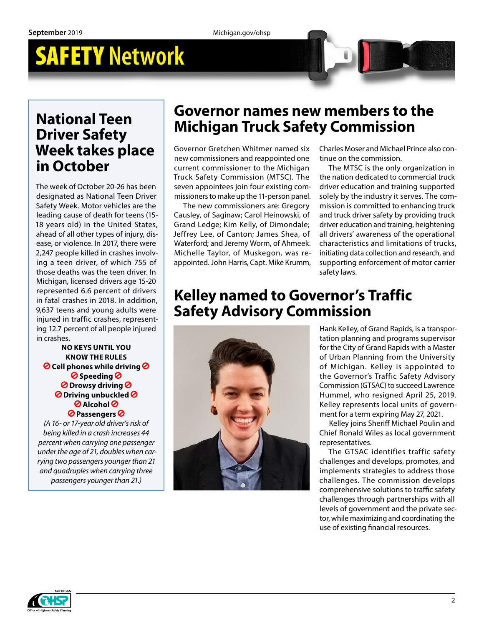### **National Teen Driver Safety Week takes place in October**

The week of October 20-26 has been designated as National Teen Driver Safety Week. Motor vehicles are the leading cause of death for teens (15- 18 years old) in the United States, ahead of all other types of injury, disease, or violence. In 2017, there were 2,247 people killed in crashes involving a teen driver, of which 755 of those deaths was the teen driver. In Michigan, licensed drivers age 15-20 represented 6.6 percent of drivers in fatal crashes in 2018. In addition, 9,637 teens and young adults were injured in traffic crashes, representing 12.7 percent of all people injured in crashes.

**NO KEYS UNTIL YOU KNOW THE RULES Cell phones while driving Speeding Drowsy driving Driving unbuckled Alcohol Passengers**

*(A 16- or 17-year old driver's risk of being killed in a crash increases 44 percent when carrying one passenger under the age of 21, doubles when carrying two passengers younger than 21 and quadruples when carrying three passengers younger than 21.)*

### **Governor names new members to the Michigan Truck Safety Commission**

Governor Gretchen Whitmer named six new commissioners and reappointed one current commissioner to the Michigan Truck Safety Commission (MTSC). The seven appointees join four existing commissioners to make up the 11-person panel.

The new commissioners are: Gregory Causley, of Saginaw; Carol Heinowski, of Grand Ledge; Kim Kelly, of Dimondale; Jeffrey Lee, of Canton; James Shea, of Waterford; and Jeremy Worm, of Ahmeek. Michelle Taylor, of Muskegon, was reappointed. John Harris, Capt. Mike Krumm, Charles Moser and Michael Prince also continue on the commission.

The MTSC is the only organization in the nation dedicated to commercial truck driver education and training supported solely by the industry it serves. The commission is committed to enhancing truck and truck driver safety by providing truck driver education and training, heightening all drivers' awareness of the operational characteristics and limitations of trucks, initiating data collection and research, and supporting enforcement of motor carrier safety laws.

### **Kelley named to Governor's Traffic Safety Advisory Commission**



Hank Kelley, of Grand Rapids, is a transportation planning and programs supervisor for the City of Grand Rapids with a Master of Urban Planning from the University of Michigan. Kelley is appointed to the Governor's Traffic Safety Advisory Commission (GTSAC) to succeed Lawrence Hummel, who resigned April 25, 2019. Kelley represents local units of government for a term expiring May 27, 2021.

Kelley joins Sheriff Michael Poulin and Chief Ronald Wiles as local government representatives.

The GTSAC identifies traffic safety challenges and develops, promotes, and implements strategies to address those challenges. The commission develops comprehensive solutions to traffic safety challenges through partnerships with all levels of government and the private sector, while maximizing and coordinating the use of existing financial resources.

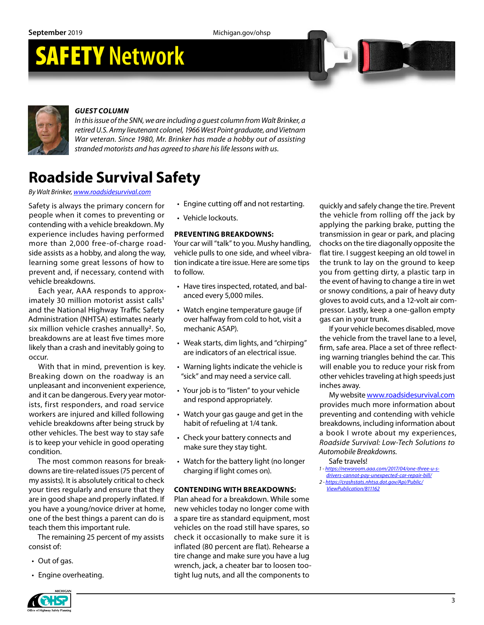**September** 2019 Michigan.gov/ohsp

## SAFETY **Network**



#### *GUEST COLUMN*

*In this issue of the SNN, we are including a guest column from Walt Brinker, a retired U.S. Army lieutenant colonel, 1966 West Point graduate, and Vietnam War veteran. Since 1980, Mr. Brinker has made a hobby out of assisting stranded motorists and has agreed to share his life lessons with us.*

### **Roadside Survival Safety**

*By Walt Brinker, [www.roadsidesurvival.com](http://www.roadsidesurvival.com)*

Safety is always the primary concern for people when it comes to preventing or contending with a vehicle breakdown. My experience includes having performed more than 2,000 free-of-charge roadside assists as a hobby, and along the way, learning some great lessons of how to prevent and, if necessary, contend with vehicle breakdowns.

Each year, AAA responds to approximately 30 million motorist assist calls**<sup>1</sup>** and the National Highway Traffic Safety Administration (NHTSA) estimates nearly six million vehicle crashes annually**<sup>2</sup>**. So, breakdowns are at least five times more likely than a crash and inevitably going to occur.

With that in mind, prevention is key. Breaking down on the roadway is an unpleasant and inconvenient experience, and it can be dangerous. Every year motorists, first responders, and road service workers are injured and killed following vehicle breakdowns after being struck by other vehicles. The best way to stay safe is to keep your vehicle in good operating condition.

The most common reasons for breakdowns are tire-related issues (75 percent of my assists). It is absolutely critical to check your tires regularly and ensure that they are in good shape and properly inflated. If you have a young/novice driver at home, one of the best things a parent can do is teach them this important rule.

The remaining 25 percent of my assists consist of:

- Out of gas.
- Engine overheating.
- Engine cutting off and not restarting.
- Vehicle lockouts.

#### **PREVENTING BREAKDOWNS:**

Your car will "talk" to you. Mushy handling, vehicle pulls to one side, and wheel vibration indicate a tire issue. Here are some tips to follow.

- Have tires inspected, rotated, and balanced every 5,000 miles.
- Watch engine temperature gauge (if over halfway from cold to hot, visit a mechanic ASAP).
- Weak starts, dim lights, and "chirping" are indicators of an electrical issue.
- Warning lights indicate the vehicle is "sick" and may need a service call.
- Your job is to "listen" to your vehicle and respond appropriately.
- Watch your gas gauge and get in the habit of refueling at 1/4 tank.
- Check your battery connects and make sure they stay tight.
- Watch for the battery light (no longer charging if light comes on).

#### **CONTENDING WITH BREAKDOWNS:**

Plan ahead for a breakdown. While some new vehicles today no longer come with a spare tire as standard equipment, most vehicles on the road still have spares, so check it occasionally to make sure it is inflated (80 percent are flat). Rehearse a tire change and make sure you have a lug wrench, jack, a cheater bar to loosen tootight lug nuts, and all the components to

quickly and safely change the tire. Prevent the vehicle from rolling off the jack by applying the parking brake, putting the transmission in gear or park, and placing chocks on the tire diagonally opposite the flat tire. I suggest keeping an old towel in the trunk to lay on the ground to keep you from getting dirty, a plastic tarp in the event of having to change a tire in wet or snowy conditions, a pair of heavy duty gloves to avoid cuts, and a 12-volt air compressor. Lastly, keep a one-gallon empty gas can in your trunk.

If your vehicle becomes disabled, move the vehicle from the travel lane to a level, firm, safe area. Place a set of three reflecting warning triangles behind the car. This will enable you to reduce your risk from other vehicles traveling at high speeds just inches away.

My website [www.roadsidesurvival.com](http://www.roadsidesurvival.com) provides much more information about preventing and contending with vehicle breakdowns, including information about a book I wrote about my experiences, *Roadside Survival: Low-Tech Solutions to Automobile Breakdowns.*

Safe travels!

- *1 [https://newsroom.aaa.com/2017/04/one-three-u-s-](https://newsroom.aaa.com/2017/04/one-three-u-s-drivers-cannot-pay-unexpected-car-repair-bill/)*
- *[drivers-cannot-pay-unexpected-car-repair-bill/](https://newsroom.aaa.com/2017/04/one-three-u-s-drivers-cannot-pay-unexpected-car-repair-bill/) 2 - [https://crashstats.nhtsa.dot.gov/Api/Public/](https://crashstats.nhtsa.dot.gov/Api/Public/ViewPublication/811162)*
- *[ViewPublication/811162](https://crashstats.nhtsa.dot.gov/Api/Public/ViewPublication/811162)*

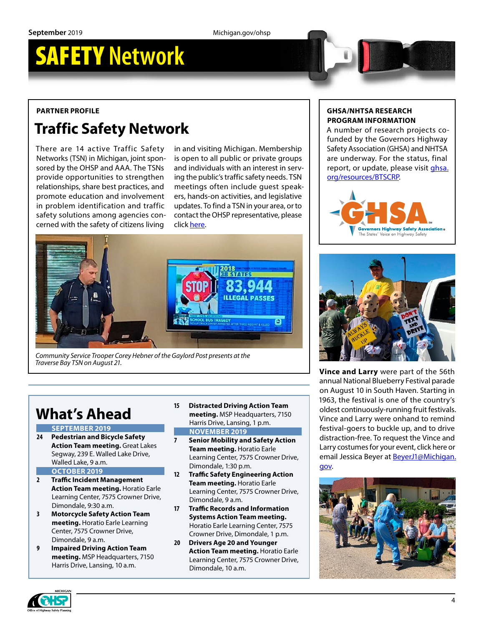#### **PARTNER PROFILE**

### **Traffic Safety Network**

There are 14 active Traffic Safety Networks (TSN) in Michigan, joint sponsored by the OHSP and AAA. The TSNs provide opportunities to strengthen relationships, share best practices, and promote education and involvement in problem identification and traffic safety solutions among agencies concerned with the safety of citizens living

in and visiting Michigan. Membership is open to all public or private groups and individuals with an interest in serving the public's traffic safety needs. TSN meetings often include guest speakers, hands-on activities, and legislative updates. To find a TSN in your area, or to contact the OHSP representative, please click [here](https://www.michigan.gov/msp/0,4643,7-123-72297_64773_22760---,00.html).



*Community Service Trooper Corey Hebner of the Gaylord Post presents at the Traverse Bay TSN on August 21.*

### **What's Ahead**

**SEPTEMBER 2019**

- **24 Pedestrian and Bicycle Safety Action Team meeting.** Great Lakes Segway, 239 E. Walled Lake Drive, Walled Lake, 9 a.m.
- **OCTOBER 2019**
- **2 Traffic Incident Management Action Team meeting.** Horatio Earle Learning Center, 7575 Crowner Drive, Dimondale, 9:30 a.m.
- **3 Motorcycle Safety Action Team meeting.** Horatio Earle Learning Center, 7575 Crowner Drive, Dimondale, 9 a.m.
- **9 Impaired Driving Action Team meeting.** MSP Headquarters, 7150 Harris Drive, Lansing, 10 a.m.
- **15 Distracted Driving Action Team meeting.** MSP Headquarters, 7150 Harris Drive, Lansing, 1 p.m. **NOVEMBER 2019**
- **7 Senior Mobility and Safety Action Team meeting.** Horatio Earle Learning Center, 7575 Crowner Drive, Dimondale, 1:30 p.m.
- **12 Traffic Safety Engineering Action Team meeting.** Horatio Earle Learning Center, 7575 Crowner Drive, Dimondale, 9 a.m.
- **17 Traffic Records and Information Systems Action Team meeting.** Horatio Earle Learning Center, 7575 Crowner Drive, Dimondale, 1 p.m.
- **20 Drivers Age 20 and Younger Action Team meeting.** Horatio Earle Learning Center, 7575 Crowner Drive, Dimondale, 10 a.m.

#### **GHSA/NHTSA RESEARCH PROGRAM INFORMATION**

A number of research projects cofunded by the Governors Highway Safety Association (GHSA) and NHTSA are underway. For the status, final report, or update, please visit [ghsa.](https://www.ghsa.org/resources/BTSCRP) [org/resources/BTSCRP.](https://www.ghsa.org/resources/BTSCRP)





**Vince and Larry** were part of the 56th annual National Blueberry Festival parade on August 10 in South Haven. Starting in 1963, the festival is one of the country's oldest continuously-running fruit festivals. Vince and Larry were onhand to remind festival-goers to buckle up, and to drive distraction-free. To request the Vince and Larry costumes for your event, click [here](https://www.michigan.gov/documents/msp/2014MaterialsCatalog_460159_7.pdf) or email Jessica Beyer at [BeyerJ1@Michigan.](mailto:BeyerJ1%40Michigan.gov?subject=Vince%20and%20Larry%20request) [gov.](mailto:BeyerJ1%40Michigan.gov?subject=Vince%20and%20Larry%20request)



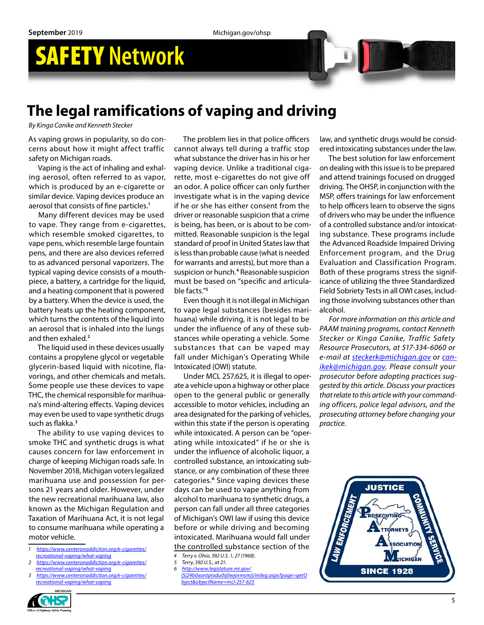### **The legal ramifications of vaping and driving**

*By Kinga Canike and Kenneth Stecker*

As vaping grows in popularity, so do concerns about how it might affect traffic safety on Michigan roads.

Vaping is the act of inhaling and exhaling aerosol, often referred to as vapor, which is produced by an e-cigarette or similar device. Vaping devices produce an aerosol that consists of fine particles.**<sup>1</sup>**

Many different devices may be used to vape. They range from e-cigarettes, which resemble smoked cigarettes, to vape pens, which resemble large fountain pens, and there are also devices referred to as advanced personal vaporizers. The typical vaping device consists of a mouthpiece, a battery, a cartridge for the liquid, and a heating component that is powered by a battery. When the device is used, the battery heats up the heating component, which turns the contents of the liquid into an aerosol that is inhaled into the lungs and then exhaled.**<sup>2</sup>**

The liquid used in these devices usually contains a propylene glycol or vegetable glycerin-based liquid with nicotine, flavorings, and other chemicals and metals. Some people use these devices to [vape](https://www.centeronaddiction.org/e-cigarettes/recreational-vaping/beyond-nicotine-vaping-marijuana)  [THC](https://www.centeronaddiction.org/e-cigarettes/recreational-vaping/beyond-nicotine-vaping-marijuana), the chemical responsible for marihuana's mind-altering effects. Vaping devices may even be used to vape synthetic drugs such as flakka.**<sup>3</sup>**

The ability to use vaping devices to smoke THC and synthetic drugs is what causes concern for law enforcement in charge of keeping Michigan roads safe. In November 2018, Michigan voters legalized marihuana use and possession for persons 21 years and older. However, under the new recreational marihuana law, also known as the Michigan Regulation and Taxation of Marihuana Act, it is not legal to consume marihuana while operating a motor vehicle.

- *1 [https://www.centeronaddiction.org/e-cigarettes/](http://) [recreational-vaping/what-vaping](http://)*
- *2 [https://www.centeronaddiction.org/e-cigarettes/](https://www.centeronaddiction.org/e-cigarettes/recreational-vaping/what-vaping) [recreational-vaping/what-vaping](https://www.centeronaddiction.org/e-cigarettes/recreational-vaping/what-vaping)*
- *3 [https://www.centeronaddiction.org/e-cigarettes/](https://www.centeronaddiction.org/e-cigarettes/recreational-vaping/what-vaping) [recreational-vaping/what-vaping](https://www.centeronaddiction.org/e-cigarettes/recreational-vaping/what-vaping)*

The problem lies in that police officers cannot always tell during a traffic stop what substance the driver has in his or her vaping device. Unlike a traditional cigarette, most e-cigarettes do not give off an odor. A police officer can only further investigate what is in the vaping device if he or she has either consent from the driver or reasonable suspicion that a crime is being, has been, or is about to be committed. Reasonable suspicion is the legal standard of proof in United States law that is less than probable cause (what is needed for warrants and arrests), but more than a suspicion or hunch.**<sup>4</sup>** Reasonable suspicion must be based on "specific and articulable facts."**<sup>5</sup>**

Even though it is not illegal in Michigan to vape legal substances (besides marihuana) while driving, it is not legal to be under the influence of any of these substances while operating a vehicle. Some substances that can be vaped may fall under Michigan's Operating While Intoxicated (OWI) statute.

Under MCL 257.625, it is illegal to operate a vehicle upon a highway or other place open to the general public or generally accessible to motor vehicles, including an area designated for the parking of vehicles, within this state if the person is operating while intoxicated. A person can be "operating while intoxicated" if he or she is under the influence of alcoholic liquor, a controlled substance, an intoxicating substance, or any combination of these three categories.<sup>6</sup> Since vaping devices these days can be used to vape anything from alcohol to marihuana to synthetic drugs, a person can fall under all three categories of Michigan's OWI law if using this device before or while driving and becoming intoxicated. Marihuana would fall under the controlled substance section of the

- *4 Terry v. Ohio, 392 U.S. 1, 27 (1968).*
- *5 Terry, 392 U.S., at 21. 6 [http://www.legislature.mi.gov/](http://www.legislature.mi.gov/(S(24b0xontptxdu0ij0wjormsm))/mileg.aspx?page=getObject&objectName=mcl)*
- *[\(S\(24b0xontptxdu0ij0wjormsm\)\)/mileg.aspx?page=getO](http://www.legislature.mi.gov/(S(24b0xontptxdu0ij0wjormsm))/mileg.aspx?page=getObject&objectName=mcl) [bject&objectName=mcl-257-625](http://www.legislature.mi.gov/(S(24b0xontptxdu0ij0wjormsm))/mileg.aspx?page=getObject&objectName=mcl)*

law, and synthetic drugs would be considered intoxicating substances under the law.

The best solution for law enforcement on dealing with this issue is to be prepared and attend trainings focused on drugged driving. The OHSP, in conjunction with the MSP, offers trainings for law enforcement to help officers learn to observe the signs of drivers who may be under the influence of a controlled substance and/or intoxicating substance. These programs include the Advanced Roadside Impaired Driving Enforcement program, and the Drug Evaluation and Classification Program. Both of these programs stress the significance of utilizing the three Standardized Field Sobriety Tests in all OWI cases, including those involving substances other than alcohol.

*For more information on this article and PAAM training programs, contact Kenneth Stecker or Kinga Canike, Traffic Safety Resource Prosecutors, at 517-334-6060 or e-mail at [steckerk@michigan.gov](mailto:steckerk%40michigan.gov?subject=) or [can](mailto:canikek%40michigan.gov?subject=)[ikek@michigan.gov.](mailto:canikek%40michigan.gov?subject=) Please consult your prosecutor before adopting practices suggested by this article. Discuss your practices that relate to this article with your commanding officers, police legal advisors, and the prosecuting attorney before changing your practice.*



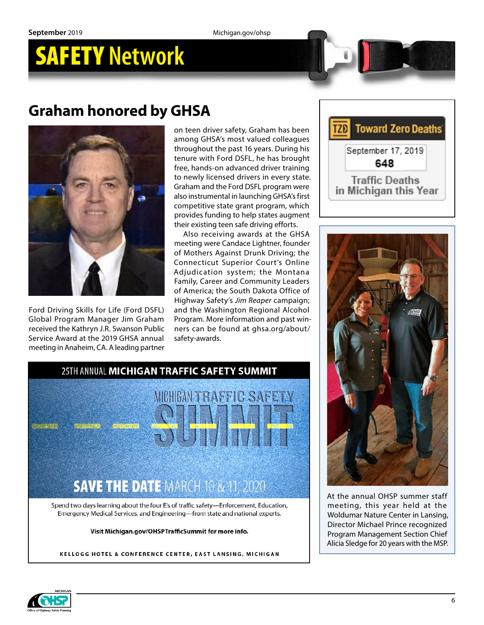### **Graham honored by GHSA**



Ford Driving Skills for Life (Ford DSFL) Global Program Manager [Jim Graham](https://gcc01.safelinks.protection.outlook.com/?url=http%3A%2F%2Fr20.rs6.net%2Ftn.jsp%3Ff%3D001R0JRrPdEDKG7UJODG4nOkgrz1N8GT8110MdQeHelZzf3Ez4uEBPmla9IzLCRqQPCBRMqzULrDGh1WcbXjAenxRkjNVTJMYmo0ImukjNyBc-vL_DxFQI75Eb2u_fw13Jl_BE6zfTicanzFDbYYE81AVrcSlT66UevPD8gWVnU_SZ2OzkCpW_EhmxSkK17Fi5jvjZyVrgenuJPnGddEtK8-A%3D%3D%26c%3DlV5YUb7nVRjIL04m0psA41hSOWd99MavnH3imjptKi2W5uaqQV3JQQ%3D%3D%26ch%3DVUBZhN-it3kADd9TyoZs-YaDMcLSsNzPYWXVB4XGUEFDezkdJPzR9g%3D%3D&data=02%7C01%7Crossj7%40michigan.gov%7Cf60312930073473f0f3c08d72b294397%7Cd5fb7087377742ad966a892ef47225d1%7C0%7C0%7C637025328535915790&sdata=ufRMQRQ04zMsW8L9Gjz5tMIl5YT5WfRRn10P0K71ZLo%3D&reserved=0)  received the Kathryn J.R. Swanson Public Service Award at the 2019 GHSA annual meeting in Anaheim, CA. A leading partner on teen driver safety, Graham has been among GHSA's most valued colleagues throughout the past 16 years. During his tenure with Ford DSFL, he has brought free, hands-on advanced driver training to newly licensed drivers in every state. Graham and the Ford DSFL program were also instrumental in launching GHSA's first competitive state grant program, which provides funding to help states augment their existing teen safe driving efforts.

Also receiving awards at the GHSA meeting were Candace Lightner, founder of Mothers Against Drunk Driving; the Connecticut Superior Court's Online Adjudication system; the Montana Family, Career and Community Leaders of America; the South Dakota Office of Highway Safety's *Jim Reaper* campaign; and the Washington Regional Alcohol Program. More information and past winners can be found at [ghsa.org/about/](https://www.ghsa.org/about/safety-awards) [safety-awards.](https://www.ghsa.org/about/safety-awards)





At the annual OHSP summer staff meeting, this year held at the Woldumar Nature Center in Lansing, Director Michael Prince recognized Program Management Section Chief Alicia Sledge for 20 years with the MSP.



25TH ANNUAL MICHIGAN TRAFFIC SAFETY SUMMIT

Spend two days learning about the four E's of traffic safety-Enforcement, Education, Emergency Medical Services, and Engineering-from state and national experts.

#### Visit Michigan.gov/OHSPTrafficSummit for more info.

KELLOGG HOTEL & CONFERENCE CENTER, EAST LANSING, MICHIGAN

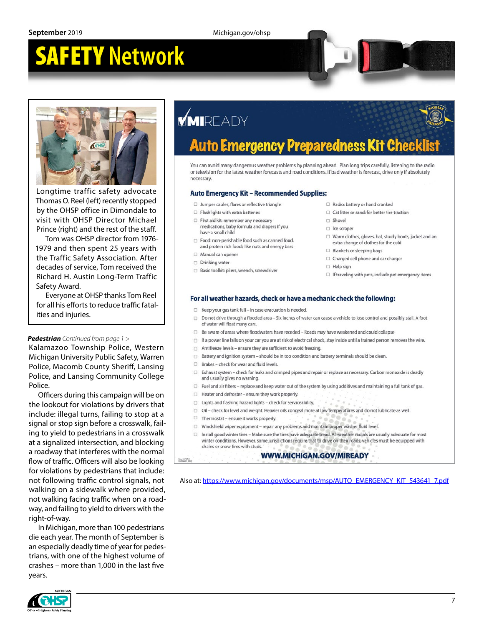

Longtime traffic safety advocate Thomas O. Reel (left) recently stopped by the OHSP office in Dimondale to visit with OHSP Director Michael Prince (right) and the rest of the staff.

Tom was OHSP director from 1976- 1979 and then spent 25 years with the Traffic Safety Association. After decades of service, Tom received the Richard H. Austin Long-Term Traffic Safety Award.

Everyone at OHSP thanks Tom Reel for all his efforts to reduce traffic fatalities and injuries.

#### *Pedestrian Continued from page 1 >*

Kalamazoo Township Police, Western Michigan University Public Safety, Warren Police, Macomb County Sheriff, Lansing Police, and Lansing Community College Police.

Officers during this campaign will be on the lookout for violations by drivers that include: illegal turns, failing to stop at a signal or stop sign before a crosswalk, failing to yield to pedestrians in a crosswalk at a signalized intersection, and blocking a roadway that interferes with the normal flow of traffic. Officers will also be looking for violations by pedestrians that include: not following traffic control signals, not walking on a sidewalk where provided, not walking facing traffic when on a roadway, and failing to yield to drivers with the right-of-way.

In Michigan, more than 100 pedestrians die each year. The month of September is an especially deadly time of year for pedestrians, with one of the highest volume of crashes – more than 1,000 in the last five years.



## **MIREADY**

#### **Preparedness Kit Chec** Auto Emergency

You can avoid many dangerous weather problems by planning ahead. Plan long trips carefully, listening to the radio or television for the latest weather forecasts and road conditions. If bad weather is forecast, drive only if absolutely necessary

#### Auto Emergency Kit - Recommended Supplies:

- $\Box$  Jumper cables, flares or reflective triangle
- $\Box$  Flashlights with extra batteries
- □ First aid kit: remember any necessary medications, baby formula and diapers if you have a small child
- $\Box$  Food: non-perishable food such as canned food, and protein rich foods like nuts and energy bars
- Manual can opene
- Drinking water
- Basic toolkit: pliers, wrench, screwdriver
- Radio: battery or hand cranked
- $\Box$  Cat litter or sand: for better tire traction
- □ Shovel
- $\Box$  ice scraper
- $\Box$  Warm clothes, gloves, hat, sturdy boots, jacket and an extra change of clothes for the cold
- $\Box$  Blankets or sleeping bags
- □ Charged cell phone and car charger
- $\Box$  Help sign
- $\Box$  If traveling with pets, include pet emergency items

#### For all weather hazards, check or have a mechanic check the following:

- □ Keep your gas tank full in case evacuation is needed.
- □ Do not drive through a flooded area Six inches of water can cause a vehicle to lose control and possibly stall. A foot of water will float many cars.
- □ Be aware of areas where floodwaters have receded Roads may have weakened and could collapse
- □ If a power line falls on your car you are at risk of electrical shock, stay inside until a trained person removes the wire.
- □ Antifreeze levels ensure they are sufficient to avoid freezing.
- □ Battery and ignition system should be in top condition and battery terminals should be clean.
- $\Box$  Brakes check for wear and fluid levels.
- □ Exhaust system check for leaks and crimped pipes and repair or replace as necessary. Carbon monoxide is deadly and usually gives no warning.
- □ Fuel and air filters replace and keep water out of the system by using additives and maintaining a full tank of gas.
	- $\Box$  Heater and defroster ensure they work properly.
- □ Lights and flashing hazard lights check for serviceability,
- □ Oil check for level and weight. Heavier oils congeal more at low temperatures and do not lubricate as well.
- $\Box$  Thermostat ensure it works properly.

Rev. 11/1/18<br>MIREADY\_0

- □ Windshield wiper equipment repair any problems and maintain proper washer fluid level.
- □ Install good winter tires Make sure the tires have adequate tread. All-weather radials are usually adequate for most winter conditions. However, some jurisdictions require that to drive on their roads, vehicles must be equipped with chains or snow tires with studs.

#### **WWW.MICHIGAN.GOV/MIREADY**

Also at: [https://www.michigan.gov/documents/msp/AUTO\\_EMERGENCY\\_KIT\\_543641\\_7.pdf](https://www.michigan.gov/documents/msp/AUTO_EMERGENCY_KIT_543641_7.pdf)